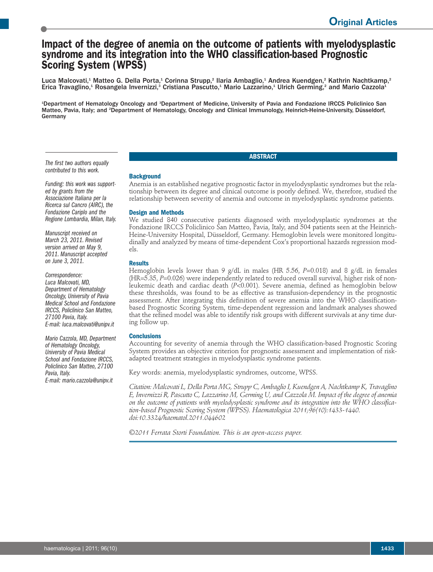# **Impact of the degree of anemia on the outcome of patients with myelodysplastic syndrome and its integration into the WHO classification-based Prognostic Scoring System (WPSS)**

Luca Malcovati,<sup>1</sup> Matteo G. Della Porta,<sup>1</sup> Corinna Strupp,<sup>2</sup> Ilaria Ambaglio,<sup>1</sup> Andrea Kuendgen,<sup>2</sup> Kathrin Nachtkamp,<sup>2</sup> Erica Travaglino,<sup>1</sup> Rosangela Invernizzi,<sup>3</sup> Cristiana Pascutto,<sup>1</sup> Mario Lazzarino,<sup>1</sup> Ulrich Germing,<sup>2</sup> and Mario Cazzola<sup>1</sup>

1 Department of Hematology Oncology and <sup>3</sup> Department of Medicine, University of Pavia and Fondazione IRCCS Policlinico San Matteo, Pavia, Italy; and <sup>2</sup>Department of Hematology, Oncology and Clinical Immunology, Heinrich-Heine-University, Düsseldorf, Germany

*The first two authors equally contributed to this work.*

*Funding: this work was supported by grants from the Associazione Italiana per la Ricerca sul Cancro (AIRC), the Fondazione Cariplo and the Regione Lombardia, Milan, Italy.*

*Manuscript received on March 23, 2011. Revised version arrived on May 9, 2011. Manuscript accepted on June 3, 2011.*

*Correspondence: Luca Malcovati, MD, Department of Hematology Oncology, University of Pavia Medical School and Fondazione IRCCS, Policlinico San Matteo, 27100 Pavia, Italy. E-mail: luca.malcovati@unipv.it*

*Mario Cazzola, MD, Department of Hematology Oncology, University of Pavia Medical School and Fondazione IRCCS, Policlinico San Matteo, <sup>27100</sup> Pavia, Italy. E-mail: mario.cazzola@unipv.it*

## **Background**

Anemia is an established negative prognostic factor in myelodysplastic syndromes but the relationship between its degree and clinical outcome is poorly defined. We, therefore, studied the relationship between severity of anemia and outcome in myelodysplastic syndrome patients.

**ABSTRACT**

## **Design and Methods**

We studied 840 consecutive patients diagnosed with myelodysplastic syndromes at the Fondazione IRCCS Policlinico San Matteo, Pavia, Italy, and 504 patients seen at the Heinrich-Heine-University Hospital, Düsseldorf, Germany. Hemoglobin levels were monitored longitudinally and analyzed by means of time-dependent Cox's proportional hazards regression models.

## **Results**

Hemoglobin levels lower than 9 g/dL in males (HR 5.56, *P*=0.018) and 8 g/dL in females (HR=5.35, *P*=0.026) were independently related to reduced overall survival, higher risk of nonleukemic death and cardiac death (*P*<0.001). Severe anemia, defined as hemoglobin below these thresholds, was found to be as effective as transfusion-dependency in the prognostic assessment. After integrating this definition of severe anemia into the WHO classificationbased Prognostic Scoring System, time-dependent regression and landmark analyses showed that the refined model was able to identify risk groups with different survivals at any time during follow up.

## **Conclusions**

Accounting for severity of anemia through the WHO classification-based Prognostic Scoring System provides an objective criterion for prognostic assessment and implementation of riskadapted treatment strategies in myelodysplastic syndrome patients.

Key words: anemia, myelodysplastic syndromes, outcome, WPSS.

*Citation: Malcovati L, Della Porta MG, Strupp C, Ambaglio I, Kuendgen A, Nachtkamp K, Travaglino E, Invernizzi R, Pascutto C, Lazzarino M, Germing U, and Cazzola M. Impact of the degree of anemia on the outcome of patients with myelodysplastic syndrome and its integration into the WHO classification-based Prognostic Scoring System (WPSS). Haematologica 2011;96(10):1433-1440. doi:10.3324/haematol.2011.044602*

*©2011 Ferrata Storti Foundation. This is an open-access paper.*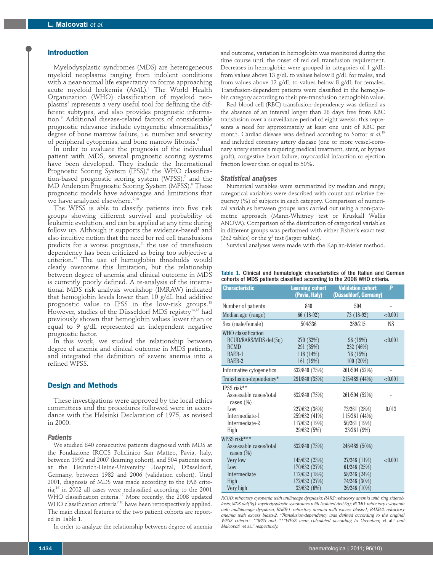## **Introduction**

Myelodysplastic syndromes (MDS) are heterogeneous myeloid neoplasms ranging from indolent conditions with a near-normal life expectancy to forms approaching acute myeloid leukemia (AML). <sup>1</sup> The World Health Organization (WHO) classification of myeloid neo $plasma<sup>2</sup>$  represents a very useful tool for defining the different subtypes, and also provides prognostic information. <sup>3</sup> Additional disease-related factors of considerable prognostic relevance include cytogenetic abnormalities, 4 degree of bone marrow failure, i.e. number and severity of peripheral cytopenias, and bone marrow fibrosis. 5

In order to evaluate the prognosis of the individual patient with MDS, several prognostic scoring systems have been developed. They include the International Prognostic Scoring System (IPSS), <sup>6</sup> the WHO classification-based prognostic scoring system (WPSS), <sup>7</sup> and the MD Anderson Prognostic Scoring System (MPSS). <sup>8</sup> These prognostic models have advantages and limitations that we have analyzed elsewhere. 9,10

The WPSS is able to classify patients into five risk groups showing different survival and probability of leukemic evolution, and can be applied at any time during follow up. Although it supports the evidence-based<sup>1</sup> and also intuitive notion that the need for red cell transfusions predicts for a worse prognosis, <sup>11</sup> the use of transfusion dependency has been criticized as being too subjective a criterion. <sup>12</sup> The use of hemoglobin thresholds would clearly overcome this limitation, but the relationship between degree of anemia and clinical outcome in MDS is currently poorly defined. A re-analysis of the international MDS risk analysis workshop (IMRAW) indicated that hemoglobin levels lower than 10 g/dL had additive prognostic value to IPSS in the low-risk groups. 13 However, studies of the Düsseldorf MDS registry<sup>14,15</sup> had previously shown that hemoglobin values lower than or equal to 9 g/dL represented an independent negative prognostic factor.

In this work, we studied the relationship between degree of anemia and clinical outcome in MDS patients, and integrated the definition of severe anemia into a refined WPSS.

## **Design and Methods**

These investigations were approved by the local ethics committees and the procedures followed were in accordance with the Helsinki Declaration of 1975, as revised in 2000.

## *Patients*

We studied 840 consecutive patients diagnosed with MDS at the Fondazione IRCCS Policlinico San Matteo, Pavia, Italy, between 1992 and 2007 (learning cohort), and 504 patients seen at the Heinrich-Heine-University Hospital, Düsseldorf, Germany, between 1982 and 2006 (validation cohort). Until 2001, diagnosis of MDS was made according to the FAB criteria; <sup>16</sup> in 2002 all cases were reclassified according to the 2001 WHO classification criteria. <sup>17</sup> More recently, the 2008 updated WHO classification criteria<sup>2,18</sup> have been retrospectively applied. The main clinical features of the two patient cohorts are reported in Table 1.

In order to analyze the relationship between degree of anemia

and outcome, variation in hemoglobin was monitored during the time course until the onset of red cell transfusion requirement. Decreases in hemoglobin were grouped in categories of 1 g/dL: from values above 13 g/dL to values below 8 g/dL for males, and from values above 12 g/dL to values below 8 g/dL for females. Transfusion-dependent patients were classified in the hemoglobin category according to their pre-transfusion hemoglobin value.

Red blood cell (RBC) transfusion-dependency was defined as the absence of an interval longer than 28 days free from RBC transfusion over a surveillance period of eight weeks: this represents a need for approximately at least one unit of RBC per month. Cardiac disease was defined according to Sorror *et al.* 19 and included coronary artery disease (one or more vessel-coronary artery stenosis requiring medical treatment, stent, or bypass graft), congestive heart failure, myocardial infarction or ejection fraction lower than or equal to 50%.

#### *Statistical analyses*

Numerical variables were summarized by median and range; categorical variables were described with count and relative frequency (%) of subjects in each category. Comparison of numerical variables between groups was carried out using a non-parametric approach (Mann-Whitney test or Kruskall Wallis ANOVA). Comparison of the distribution of categorical variables in different groups was performed with either Fisher's exact test (2x2 tables) or the  $\chi^2$  test (larger tables).

Survival analyses were made with the Kaplan-Meier method.

#### Table 1. Clinical and hematologic characteristics of the Italian and German cohorts of MDS patients classified according to the 2008 WHO criteria.

| <b>Characteristic</b>                                                                                    | <b>Learning cohort</b><br>(Pavia, Italy)                                        | <b>Validation cohort</b><br>(Düsseldorf, Germany)                             | P       |
|----------------------------------------------------------------------------------------------------------|---------------------------------------------------------------------------------|-------------------------------------------------------------------------------|---------|
| Number of patients                                                                                       | 840                                                                             | 504                                                                           |         |
| Median age (range)                                                                                       | 66 (18-92)                                                                      | $73(18-92)$                                                                   | < 0.001 |
| Sex (male/female)                                                                                        | 504/336                                                                         | 289/215                                                                       | NS      |
| WHO classification<br>RCUD/RARS/MDS del(5q)<br><b>RCMD</b><br>RAEB-1<br>RAEB-2                           | 270 (32%)<br>291 (35%)<br>$118(14\%)$<br>161 (19%)                              | 96 (19%)<br>232 (46%)<br>76(15%)<br>100(20%)                                  | < 0.001 |
| Informative cytogenetics                                                                                 | 632/840 (75%)                                                                   | 261/504 (52%)                                                                 |         |
| Transfusion-dependency*                                                                                  | 291/840 (35%)                                                                   | 215/489 (44%)                                                                 | < 0.001 |
| IPSS risk**<br>Assessable cases/total<br>cases $(\%)$<br>Low<br>Intermediate-1<br>Intermediate-2<br>High | 632/840 (75%)<br>227/632 (36%)<br>259/632 (41%)<br>117/632 (19%)<br>29/632 (5%) | 261/504 (52%)<br>73/261 (28%)<br>115/261 (44%)<br>50/261 (19%)<br>23/261 (9%) | 0.013   |
| WPSS risk***<br>Assessable cases/total                                                                   |                                                                                 |                                                                               |         |
| cases $(\%)$<br>Very low<br>Low<br>Intermediate                                                          | 632/840 (75%)<br>145/632 (23%)<br>170/632 (27%)<br>112/632 (18%)                | 246/489 (50%)<br>27/246 (11%)<br>61/246 (25%)<br>58/246 (24%)                 | < 0.001 |
| High<br>Very high                                                                                        | 172/632 (27%)<br>33/632 (6%)                                                    | 74/246 (30%)<br>26/246 (10%)                                                  |         |

*RCUD: refractory cytopenia with unilineage dysplasia; RARS: refractory anemia with ring sideroblasts; MDS del(5q): myelodysplastic syndromes with isolated del(5q); RCMD: refractory cytopenia with multilineage dysplasia; RAEB-1: refractory anemia with excess blasts-1; RAEB-2: refractory anemia with excess blasts-2. \*Transfusion-dependency was defined according to the original WPSS criteria. <sup>7</sup> \*\*IPSS and \*\*\*WPSS were calculated according to Greenberg* et al. *<sup>6</sup> and Malcovati* et al.*, <sup>7</sup> respectively.*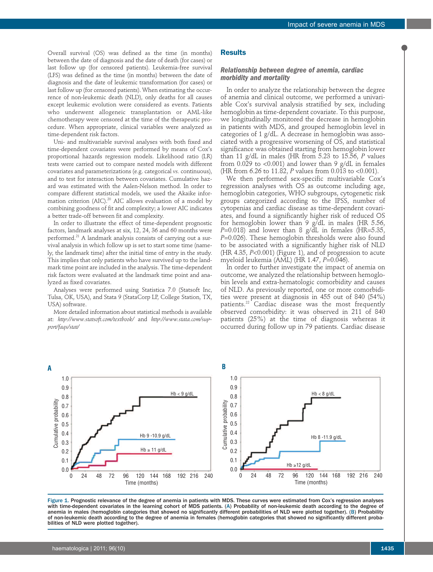Overall survival (OS) was defined as the time (in months) between the date of diagnosis and the date of death (for cases) or last follow up (for censored patients). Leukemia-free survival (LFS) was defined as the time (in months) between the date of diagnosis and the date of leukemic transformation (for cases) or last follow up (for censored patients). When estimating the occurrence of non-leukemic death (NLD), only deaths for all causes except leukemic evolution were considered as events. Patients who underwent allogeneic transplantation or AML-like chemotherapy were censored at the time of the therapeutic procedure. When appropriate, clinical variables were analyzed as time-dependent risk factors.

Uni- and multivariable survival analyses with both fixed and time-dependent covariates were performed by means of Cox's proportional hazards regression models. Likelihood ratio (LR) tests were carried out to compare nested models with different covariates and parameterizations (e.g. categorical *vs.* continuous), and to test for interaction between covariates. Cumulative hazard was estimated with the Aalen-Nelson method. In order to compare different statistical models, we used the Akaike information criterion (AIC). <sup>20</sup> AIC allows evaluation of a model by combining goodness of fit and complexity; a lower AIC indicates a better trade-off between fit and complexity.

In order to illustrate the effect of time-dependent prognostic factors, landmark analyses at six, 12, 24, 36 and 60 months were performed. <sup>21</sup> A landmark analysis consists of carrying out a survival analysis in which follow up is set to start some time (namely, the landmark time) after the initial time of entry in the study. This implies that only patients who have survived up to the landmark time point are included in the analysis. The time-dependent risk factors were evaluated at the landmark time point and analyzed as fixed covariates.

Analyses were performed using Statistica 7.0 (Statsoft Inc, Tulsa, OK, USA), and Stata 9 (StataCorp LP, College Station, TX, USA) software.

More detailed information about statistical methods is available at: *http://www.statsoft.com/textbook/* and *http://www.stata.com/support/faqs/stat/*

#### **Results**

## *Relationship between degree of anemia, cardiac morbidity and mortality*

In order to analyze the relationship between the degree of anemia and clinical outcome, we performed a univariable Cox's survival analysis stratified by sex, including hemoglobin as time-dependent covariate. To this purpose, we longitudinally monitored the decrease in hemoglobin in patients with MDS, and grouped hemoglobin level in categories of 1 g/dL. A decrease in hemoglobin was associated with a progressive worsening of OS, and statistical significance was obtained starting from hemoglobin lower than 11 g/dL in males (HR from 5.23 to 15.56, *P* values from  $0.029$  to <0.001) and lower than 9 g/dL in females (HR from 6.26 to 11.82, *P* values from 0.013 to <0.001).

We then performed sex-specific multivariable Cox's regression analyses with OS as outcome including age, hemoglobin categories, WHO subgroups, cytogenetic risk groups categorized according to the IPSS, number of cytopenias and cardiac disease as time-dependent covariates, and found a significantly higher risk of reduced OS for hemoglobin lower than 9 g/dL in males (HR 5.56,  $P=0.018$ ) and lower than 8 g/dL in females (HR=5.35, *P*=0.026). These hemoglobin thresholds were also found to be associated with a significantly higher risk of NLD (HR 4.35, *P*<0.001) (Figure 1), and of progression to acute myeloid leukemia (AML) (HR 1.47, *P*=0.046).

In order to further investigate the impact of anemia on outcome, we analyzed the relationship between hemoglobin levels and extra-hematologic comorbidity and causes of NLD. As previously reported, one or more comorbidities were present at diagnosis in 455 out of 840 (54%) patients.<sup>22</sup> Cardiac disease was the most frequently observed comorbidity: it was observed in 211 of 840 patients (25%) at the time of diagnosis whereas it occurred during follow up in 79 patients. Cardiac disease



Figure 1. Prognostic relevance of the degree of anemia in patients with MDS. These curves were estimated from Cox's regression analyses with time-dependent covariates in the learning cohort of MDS patients. (A) Probability of non-leukemic death according to the degree of anemia in males (hemoglobin categories that showed no significantly different probabilities of NLD were plotted together). (B) Probability of non-leukemic death according to the degree of anemia in females (hemoglobin categories that showed no significantly different probabilities of NLD were plotted together).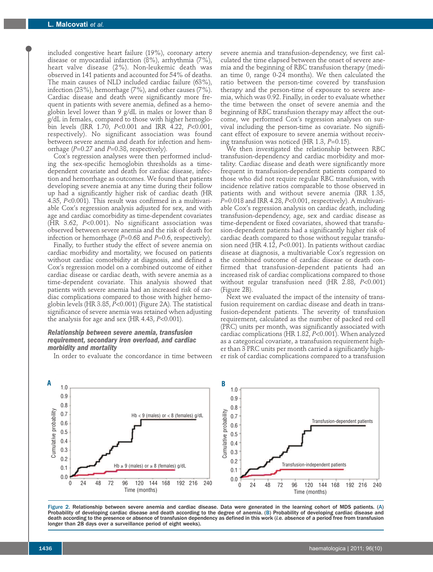included congestive heart failure (19%), coronary artery disease or myocardial infarction (8%), arrhythmia (7%), heart valve disease (2%). Non-leukemic death was observed in 141 patients and accounted for 54% of deaths. The main causes of NLD included cardiac failure (63%), infection (23%), hemorrhage (7%), and other causes (7%). Cardiac disease and death were significantly more frequent in patients with severe anemia, defined as a hemoglobin level lower than 9 g/dL in males or lower than 8 g/dL in females, compared to those with higher hemoglobin levels (IRR 1.70, *P*<0.001 and IRR 4.22, *P*<0.001, respectively). No significant association was found between severe anemia and death for infection and hemorrhage (*P*=0.27 and *P*=0.38, respectively).

Cox's regression analyses were then performed including the sex-specific hemoglobin thresholds as a timedependent covariate and death for cardiac disease, infection and hemorrhage as outcomes. We found that patients developing severe anemia at any time during their follow up had a significantly higher risk of cardiac death (HR 4.35, *P*<0.001). This result was confirmed in a multivariable Cox's regression analysis adjusted for sex, and with age and cardiac comorbidity as time-dependent covariates (HR 3.62, *P*<0.001). No significant association was observed between severe anemia and the risk of death for infection or hemorrhage (*P*=0.68 and *P*=0.6, respectively).

Finally, to further study the effect of severe anemia on cardiac morbidity and mortality, we focused on patients without cardiac comorbidity at diagnosis, and defined a Cox's regression model on a combined outcome of either cardiac disease or cardiac death, with severe anemia as a time-dependent covariate. This analysis showed that patients with severe anemia had an increased risk of cardiac complications compared to those with higher hemoglobin levels (HR 3.85, *P*<0.001) (Figure 2A). The statistical significance of severe anemia was retained when adjusting the analysis for age and sex (HR 4.43, *P*<0.001).

## *Relationship between severe anemia, transfusion requirement, secondary iron overload, and cardiac morbidity and mortality*

In order to evaluate the concordance in time between

severe anemia and transfusion-dependency, we first calculated the time elapsed between the onset of severe anemia and the beginning of RBC transfusion therapy (median time 0, range 0-24 months). We then calculated the ratio between the person-time covered by transfusion therapy and the person-time of exposure to severe anemia, which was 0.92. Finally, in order to evaluate whether the time between the onset of severe anemia and the beginning of RBC transfusion therapy may affect the outcome, we performed Cox's regression analyses on survival including the person-time as covariate. No significant effect of exposure to severe anemia without receiving transfusion was noticed (HR 1.3, *P*=0.15).

We then investigated the relationship between RBC transfusion-dependency and cardiac morbidity and mortality. Cardiac disease and death were significantly more frequent in transfusion-dependent patients compared to those who did not require regular RBC transfusion, with incidence relative ratios comparable to those observed in patients with and without severe anemia (IRR 1.35, *P*=0.018 and IRR 4.28, *P*<0.001, respectively). A multivariable Cox's regression analysis on cardiac death, including transfusion-dependency, age, sex and cardiac disease as time-dependent or fixed covariates, showed that transfusion-dependent patients had a significantly higher risk of cardiac death compared to those without regular transfusion need (HR 4.12, *P*<0.001). In patients without cardiac disease at diagnosis, a multivariable Cox's regression on the combined outcome of cardiac disease or death confirmed that transfusion-dependent patients had an increased risk of cardiac complications compared to those without regular transfusion need (HR 2.88, *P*<0.001) (Figure 2B).

Next we evaluated the impact of the intensity of transfusion requirement on cardiac disease and death in transfusion-dependent patients. The severity of transfusion requirement, calculated as the number of packed red cell (PRC) units per month, was significantly associated with cardiac complications (HR 1.82, *P*<0.001). When analyzed as a categorical covariate, a transfusion requirement higher than 3 PRC units per month carried a significantly higher risk of cardiac complications compared to a transfusion



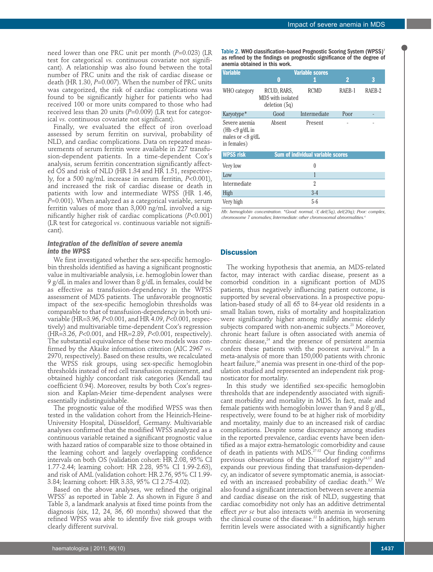need lower than one PRC unit per month (*P*=0.023) (LR test for categorical *vs.* continuous covariate not significant). A relationship was also found between the total number of PRC units and the risk of cardiac disease or death (HR 1.30, *P*=0.007). When the number of PRC units was categorized, the risk of cardiac complications was found to be significantly higher for patients who had received 100 or more units compared to those who had received less than 20 units (P=0.009) (LR test for categorical *vs.* continuous covariate not significant).

Finally, we evaluated the effect of iron overload assessed by serum ferritin on survival, probability of NLD, and cardiac complications. Data on repeated measurements of serum ferritin were available in 227 transfusion-dependent patients. In a time-dependent Cox's analysis, serum ferritin concentration significantly affected OS and risk of NLD (HR 1.34 and HR 1.51, respectively, for a 500 ng/mL increase in serum ferritin, *P*<0.001), and increased the risk of cardiac disease or death in patients with low and intermediate WPSS (HR 1.46, *P*=0.001). When analyzed as a categorical variable, serum ferritin values of more than 3,000 ng/mL involved a significantly higher risk of cardiac complications (*P*<0.001) (LR test for categorical *vs*. continuous variable not significant).

#### *Integration of the definition of severe anemia into the WPSS*

We first investigated whether the sex-specific hemoglobin thresholds identified as having a significant prognostic value in multivariable analysis, i.e. hemoglobin lower than 9 g/dL in males and lower than 8 g/dL in females, could be as effective as transfusion-dependency in the WPSS assessment of MDS patients. The unfavorable prognostic impact of the sex-specific hemoglobin thresholds was comparable to that of transfusion-dependency in both univariable (HR=3.96, *P*<0.001, and HR 4.09, *P*<0.001, respectively) and multivariable time-dependent Cox's regression (HR=3.26, *P*<0.001, and HR=2.89, *P*<0.001, respectively). The substantial equivalence of these two models was confirmed by the Akaike information criterion (AIC 2967 *vs*. 2970, respectively). Based on these results, we recalculated the WPSS risk groups, using sex-specific hemoglobin thresholds instead of red cell transfusion requirement, and obtained highly concordant risk categories (Kendall tau coefficient 0.94). Moreover, results by both Cox's regression and Kaplan-Meier time-dependent analyses were essentially indistinguishable.

The prognostic value of the modified WPSS was then tested in the validation cohort from the Heinrich-Heine-University Hospital, Düsseldorf, Germany. Multivariable analyses confirmed that the modified WPSS analyzed as a continuous variable retained a significant prognostic value with hazard ratios of comparable size to those obtained in the learning cohort and largely overlapping confidence intervals on both OS (validation cohort: HR 2.08, 95% CI 1.77-2.44; learning cohort: HR 2.28, 95% CI 1.99-2.63), and risk of AML (validation cohort: HR 2.76, 95% CI 1.99- 3.84; learning cohort: HR 3.33, 95% CI 2.75-4.02).

Based on the above analyses, we refined the original WPSS<sup>7</sup> as reported in Table 2. As shown in Figure 3 and Table 3, a landmark analysis at fixed time points from the diagnosis (six, 12, 24, 36, 60 months) showed that the refined WPSS was able to identify five risk groups with clearly different survival.

Table 2. WHO classification-based Prognostic Scoring System (WPSS)<sup>7</sup> as refined by the findings on prognostic significance of the degree of anemia obtained in this work.

| <b>Variable</b>                                                         | 0                                                   | <b>Variable scores</b>                   | $\overline{2}$ | 3      |
|-------------------------------------------------------------------------|-----------------------------------------------------|------------------------------------------|----------------|--------|
| WHO category                                                            | RCUD, RARS,<br>MDS with isolated<br>deletion $(5q)$ | <b>RCMD</b>                              | RAEB-1         | RAEB-2 |
| Karyotype*                                                              | Good                                                | Intermediate                             | Poor           |        |
| Severe anemia<br>$(Hb < 9$ g/dL in<br>males or $<8$ g/dL<br>in females) | Absent                                              | Present                                  |                |        |
| <b>WPSS risk</b>                                                        |                                                     | <b>Sum of individual variable scores</b> |                |        |
| Very low                                                                |                                                     | 0                                        |                |        |
| Low                                                                     |                                                     | 1                                        |                |        |
| Intermediate                                                            |                                                     | 2                                        |                |        |
| High                                                                    |                                                     | $3-4$                                    |                |        |
| Very high                                                               |                                                     | $5-6$                                    |                |        |

*Hb: hemoglobin concentration. \*Good: normal, -Y, del(5q), del(20q); Poor: complex, chromosome 7 anomalies; Intermediate: other chromosomal abnormalities. 6*

## **Discussion**

The working hypothesis that anemia, an MDS-related factor, may interact with cardiac disease, present as a comorbid condition in a significant portion of MDS patients, thus negatively influencing patient outcome, is supported by several observations. In a prospective population-based study of all 65 to 84-year old residents in a small Italian town, risks of mortality and hospitalization were significantly higher among mildly anemic elderly subjects compared with non-anemic subjects. <sup>23</sup> Moreover, chronic heart failure is often associated with anemia of chronic disease, <sup>24</sup> and the presence of persistent anemia confers these patients with the poorest survival.<sup>25</sup> In a meta-analysis of more than 150,000 patients with chronic heart failure, <sup>26</sup> anemia was present in one-third of the population studied and represented an independent risk prognosticator for mortality.

In this study we identified sex-specific hemoglobin thresholds that are independently associated with significant morbidity and mortality in MDS. In fact, male and female patients with hemoglobin lower than 9 and 8 g/dL, respectively, were found to be at higher risk of morbidity and mortality, mainly due to an increased risk of cardiac complications. Despite some discrepancy among studies in the reported prevalence, cardiac events have been identified as a major extra-hematologic comorbidity and cause of death in patients with MDS. 27-32 Our finding confirms previous observations of the Düsseldorf registry<sup>14,15</sup> and expands our previous finding that transfusion-dependency, an indicator of severe symptomatic anemia, is associated with an increased probability of cardiac death.<sup>3,7</sup> We also found a significant interaction between severe anemia and cardiac disease on the risk of NLD, suggesting that cardiac comorbidity not only has an additive detrimental effect *per se* but also interacts with anemia in worsening the clinical course of the disease. <sup>22</sup> In addition, high serum ferritin levels were associated with a significantly higher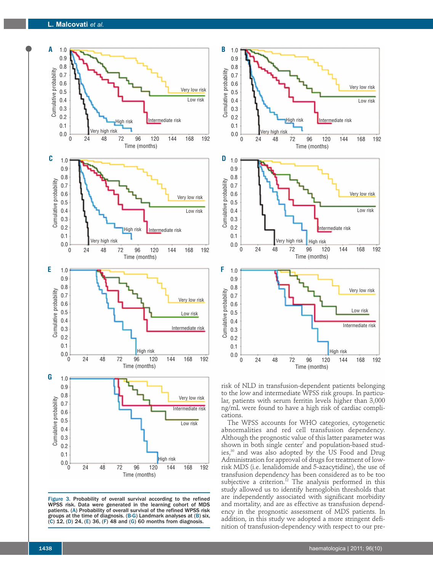

Figure 3. Probability of overall survival according to the refined WPSS risk. Data were generated in the learning cohort of MDS patients. (A) Probability of overall survival of the refined WPSS risk groups at the time of diagnosis. (B-G) Landmark analyses at (B) six,  $(C)$  12,  $(D)$  24,  $(E)$  36,  $(F)$  48 and  $(G)$  60 months from diagnosis.



risk of NLD in transfusion-dependent patients belonging to the low and intermediate WPSS risk groups. In particular, patients with serum ferritin levels higher than 3,000 ng/mL were found to have a high risk of cardiac complications.

The WPSS accounts for WHO categories, cytogenetic abnormalities and red cell transfusion dependency. Although the prognostic value of this latter parameter was shown in both single center $^7$  and population-based studies, <sup>30</sup> and was also adopted by the US Food and Drug Administration for approval of drugs for treatment of lowrisk MDS (i.e. lenalidomide and 5-azacytidine), the use of transfusion dependency has been considered as to be too subjective a criterion. <sup>12</sup> The analysis performed in this study allowed us to identify hemoglobin thresholds that are independently associated with significant morbidity and mortality, and are as effective as transfusion dependency in the prognostic assessment of MDS patients. In addition, in this study we adopted a more stringent definition of transfusion-dependency with respect to our pre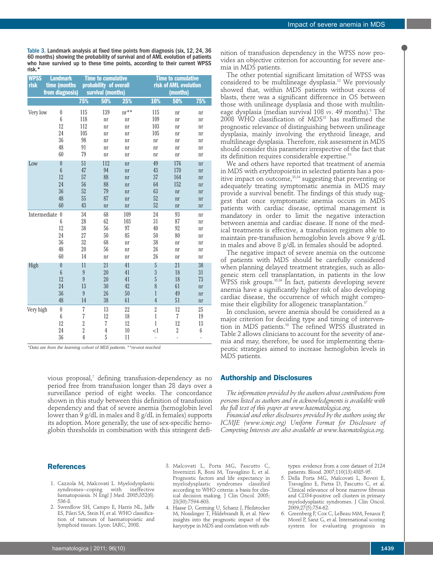Table 3. Landmark analysis at fixed time points from diagnosis (six, 12, 24, 36 60 months) showing the probability of survival and of AML evolution of patients who have survived up to these time points, according to their current WPSS risk.\*

| <b>WPSS</b><br>risk              | <b>Landmark</b><br>time (months<br>from diagnosis) | <b>Time to cumulative</b><br>probability of overall<br>survival (months) |                |            | <b>Time to cumulative</b><br>risk of AML evolution<br>(months) |                |                |
|----------------------------------|----------------------------------------------------|--------------------------------------------------------------------------|----------------|------------|----------------------------------------------------------------|----------------|----------------|
|                                  |                                                    | 75%                                                                      | 50%            | <b>25%</b> | 10%                                                            | 50%            | 75%            |
| Very low                         | $\theta$                                           | 115                                                                      | 139            | $nr^{**}$  | 115                                                            | nr             | nr             |
|                                  | $\boldsymbol{6}$                                   | 118                                                                      | nr             | nr         | 109                                                            | nr             | nr             |
|                                  | 12                                                 | 112                                                                      | nr             | nr         | 103                                                            | nr             | nr             |
|                                  | 24                                                 | 105                                                                      | nr             | nr         | 105                                                            | nr             | nr             |
|                                  | 36                                                 | 98                                                                       | nr             | nr         | nr                                                             | nr             | nr             |
|                                  | 48                                                 | 91                                                                       | nr             | nr         | nr                                                             | nr             | nr             |
|                                  | 60                                                 | 79                                                                       | nr             | nr         | nr                                                             | nr             | nr             |
| Low                              | $\pmb{0}$                                          | 51                                                                       | 112            | n r        | 49                                                             | 176            | nr             |
|                                  | $\boldsymbol{6}$                                   | 47                                                                       | 94             | n r        | 43                                                             | 170            | nr             |
|                                  | 12                                                 | 57                                                                       | 88             | n r        | 37                                                             | 164            | n r            |
|                                  | 24                                                 | 56                                                                       | 88             | n r        | 64                                                             | 152            | n r            |
|                                  | 36                                                 | 52                                                                       | 79             | n r        | 63                                                             | n r            | nr             |
|                                  | 48                                                 | 55                                                                       | 87             | n r        | 52                                                             | n <sub>r</sub> | n <sub>r</sub> |
|                                  | 60                                                 | 43                                                                       | n r            | n r        | 52                                                             | n r            | n r            |
| Intermediate<br>$\boldsymbol{0}$ |                                                    | 34                                                                       | 68             | 109        | 24                                                             | 93             | nr             |
|                                  | 6                                                  | 28                                                                       | 62             | 103        | 31                                                             | 87             | nr             |
|                                  | 12                                                 | 38                                                                       | 56             | 97         | 40                                                             | 92             | nr             |
|                                  | 24                                                 | 27                                                                       | 50             | 85         | 50                                                             | 80             | nr             |
|                                  | 36                                                 | 32                                                                       | 68             | nr         | 38                                                             | nr             | nr             |
|                                  | 48                                                 | 20                                                                       | 56             | nr         | 26                                                             | nr             | nr             |
|                                  | 60                                                 | 14                                                                       | nr             | nr         | 26                                                             | nr             | nr             |
| High                             | $\boldsymbol{0}$                                   | 11                                                                       | 21             | 41         | $\overline{5}$                                                 | 21             | 38             |
|                                  | $\boldsymbol{6}$                                   | $\overline{9}$                                                           | 20             | 41         | $\overline{3}$                                                 | 18             | 31             |
|                                  | 12                                                 | 9                                                                        | 20             | 41         | 5                                                              | 18             | 73             |
|                                  | 24                                                 | 13                                                                       | 30             | 42         | 8                                                              | 61             | n <sub>r</sub> |
|                                  | 36                                                 | $\overline{9}$                                                           | 26             | 50         | 1                                                              | 49             | nr             |
|                                  | 48                                                 | 14                                                                       | 38             | 61         | $\overline{4}$                                                 | 51             | nr             |
| Very high                        | $\theta$                                           | $\overline{7}$                                                           | 13             | 22         | $\overline{2}$                                                 | 12             | 25             |
|                                  | $\boldsymbol{6}$                                   | 7                                                                        | 12             | 18         | $\mathbf{1}$                                                   | $\overline{7}$ | 19             |
|                                  | 12                                                 | $\sqrt{2}$                                                               | 7              | 12         | 1                                                              | 12             | 13             |
|                                  | 24                                                 | $\overline{2}$                                                           | $\overline{4}$ | 10         | $\leq$                                                         | $\sqrt{2}$     | 6              |
|                                  | 36                                                 | $\overline{4}$                                                           | 5              | 11         | $\overline{a}$                                                 | $\overline{a}$ |                |

*\*Data are from the learning cohort of MDS patients.\*\*nr=not reached.*

vious proposal, <sup>7</sup> defining transfusion-dependency as no period free from transfusion longer than 28 days over a surveillance period of eight weeks. The concordance shown in this study between this definition of transfusion dependency and that of severe anemia (hemoglobin level lower than 9 g/dL in males and 8 g/dL in females) supports its adoption. More generally, the use of sex-specific hemoglobin thresholds in combination with this stringent defi-

## **References**

- 1. Cazzola M, Malcovati L. Myelodysplastic syndromes--coping with ineffective hematopoiesis. N Engl J Med. 2005;352(6): 536-8.
- 2. Swerdlow SH, Campo E, Harris NL, Jaffe ES, Pileri SA, Stein H, et al. WHO classification of tumours of haematopoietic and lymphoid tissues. Lyon: IARC, 2008.
- 3. Malcovati L, Porta MG, Pascutto C, Invernizzi R, Boni M, Travaglino E, et al. Prognostic factors and life expectancy in
- myelodysplastic syndromes classified according to WHO criteria: a basis for clinical decision making. J Clin Oncol. 2005; 23(30):7594-603. 4. Haase D, Germing U, Schanz J, Pfeilstocker
- M, Nosslinger T, Hildebrandt B, et al. New insights into the prognostic impact of the karyotype in MDS and correlation with sub-

nition of transfusion dependency in the WPSS now provides an objective criterion for accounting for severe anemia in MDS patients.

The other potential significant limitation of WPSS was considered to be multilineage dysplasia. <sup>12</sup> We previously showed that, within MDS patients without excess of blasts, there was a significant difference in OS between those with unilineage dysplasia and those with multilineage dysplasia (median survival 108 *vs*. 49 months). <sup>3</sup> The 2008 WHO classification of MDS18 has reaffirmed the prognostic relevance of distinguishing between unilineage dysplasia, mainly involving the erythroid lineage, and multilineage dysplasia. Therefore, risk assessment in MDS should consider this parameter irrespective of the fact that its definition requires considerable expertise. 10

We and others have reported that treatment of anemia in MDS with erythropoietin in selected patients has a positive impact on outcome, 33,34 suggesting that preventing or adequately treating symptomatic anemia in MDS may provide a survival benefit. The findings of this study suggest that once symptomatic anemia occurs in MDS patients with cardiac disease, optimal management is mandatory in order to limit the negative interaction between anemia and cardiac disease. If none of the medical treatments is effective, a transfusion regimen able to maintain pre-transfusion hemoglobin levels above 9 g/dL in males and above 8 g/dL in females should be adopted.

The negative impact of severe anemia on the outcome of patients with MDS should be carefully considered when planning delayed treatment strategies, such as allogeneic stem cell transplantation, in patients in the low WPSS risk groups.<sup>35,36</sup> In fact, patients developing severe anemia have a significantly higher risk of also developing cardiac disease, the occurrence of which might compromise their eligibility for allogeneic transplantation. 37

In conclusion, severe anemia should be considered as a major criterion for deciding type and timing of intervention in MDS patients. <sup>38</sup> The refined WPSS illustrated in Table 2 allows clinicians to account for the severity of anemia and may, therefore, be used for implementing therapeutic strategies aimed to increase hemoglobin levels in MDS patients.

## **Authorship and Disclosures**

*The information provided by the authors about contributions from persons listed as authors and in acknowledgments is available with the full text of this paper at www.haematologica.org.*

*Financial and other disclosures provided by the authors using the ICMJE (www.icmje.org) Uniform Format for Disclosure of Competing Interests are also available at www.haematologica.org.*

> types: evidence from a core dataset of 2124 patients. Blood. 2007;110(13):4385-95.

- 5. Della Porta MG, Malcovati L, Boveri E, Travaglino E, Pietra D, Pascutto C, et al. Clinical relevance of bone marrow fibrosis and CD34-positive cell clusters in primary myelodysplastic syndromes. J Clin Oncol. 2009;27(5):754-62.
- 6. Greenberg P, Cox C, LeBeau MM, Fenaux P, Morel P, Sanz G, et al. International scoring system for evaluating prognosis